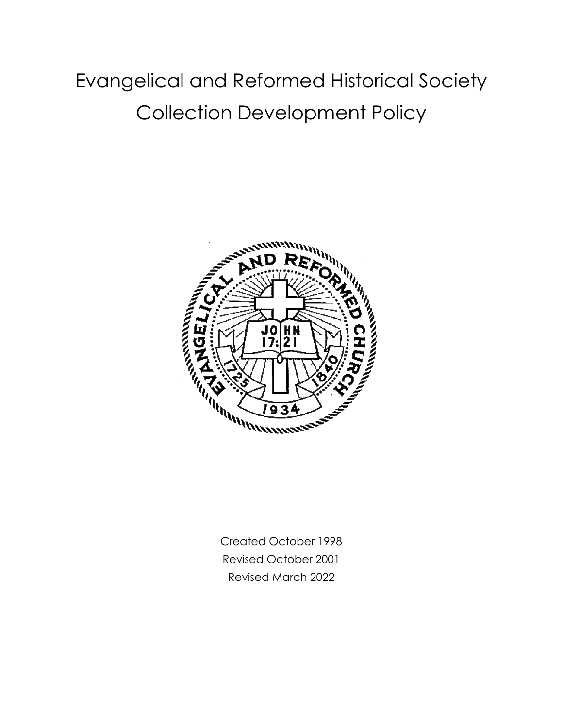# Evangelical and Reformed Historical Society Collection Development Policy



Created October 1998 Revised October 2001 Revised March 2022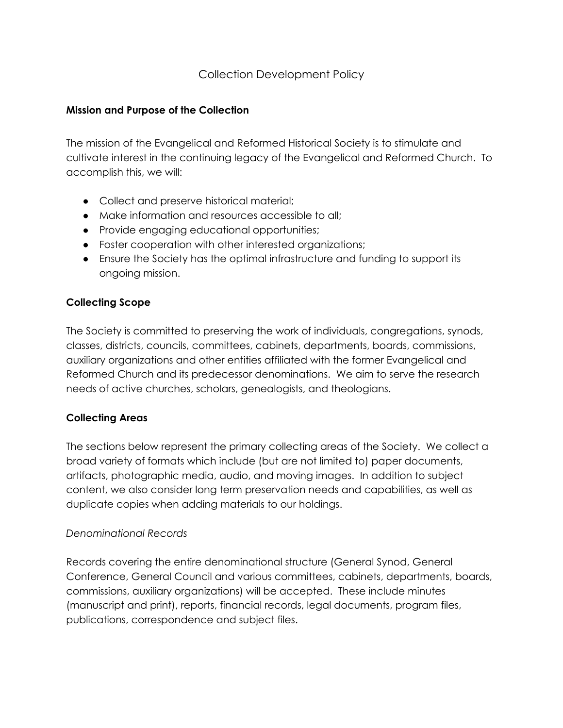# Collection Development Policy

#### **Mission and Purpose of the Collection**

The mission of the Evangelical and Reformed Historical Society is to stimulate and cultivate interest in the continuing legacy of the Evangelical and Reformed Church. To accomplish this, we will:

- Collect and preserve historical material;
- Make information and resources accessible to all;
- Provide engaging educational opportunities;
- Foster cooperation with other interested organizations;
- Ensure the Society has the optimal infrastructure and funding to support its ongoing mission.

## **Collecting Scope**

The Society is committed to preserving the work of individuals, congregations, synods, classes, districts, councils, committees, cabinets, departments, boards, commissions, auxiliary organizations and other entities affiliated with the former Evangelical and Reformed Church and its predecessor denominations. We aim to serve the research needs of active churches, scholars, genealogists, and theologians.

## **Collecting Areas**

The sections below represent the primary collecting areas of the Society. We collect a broad variety of formats which include (but are not limited to) paper documents, artifacts, photographic media, audio, and moving images. In addition to subject content, we also consider long term preservation needs and capabilities, as well as duplicate copies when adding materials to our holdings.

#### *Denominational Records*

Records covering the entire denominational structure (General Synod, General Conference, General Council and various committees, cabinets, departments, boards, commissions, auxiliary organizations) will be accepted. These include minutes (manuscript and print), reports, financial records, legal documents, program files, publications, correspondence and subject files.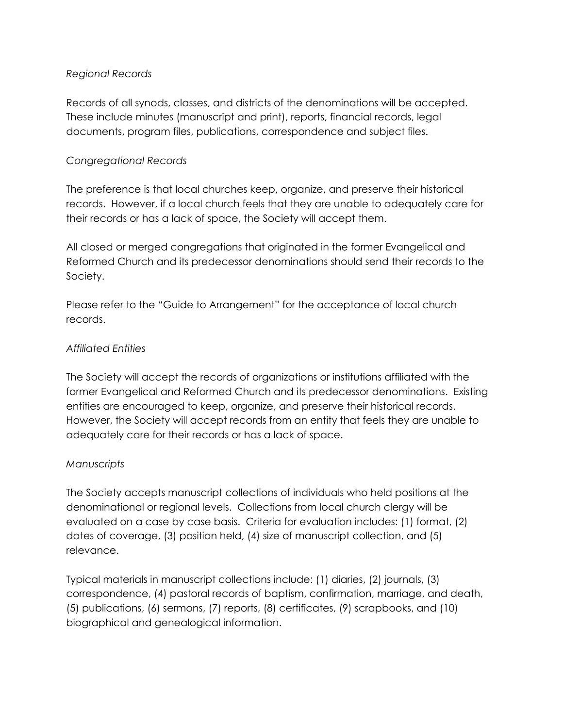## *Regional Records*

Records of all synods, classes, and districts of the denominations will be accepted. These include minutes (manuscript and print), reports, financial records, legal documents, program files, publications, correspondence and subject files.

## *Congregational Records*

The preference is that local churches keep, organize, and preserve their historical records. However, if a local church feels that they are unable to adequately care for their records or has a lack of space, the Society will accept them.

All closed or merged congregations that originated in the former Evangelical and Reformed Church and its predecessor denominations should send their records to the Society.

Please refer to the "Guide to Arrangement" for the acceptance of local church records.

## *Affiliated Entities*

The Society will accept the records of organizations or institutions affiliated with the former Evangelical and Reformed Church and its predecessor denominations. Existing entities are encouraged to keep, organize, and preserve their historical records. However, the Society will accept records from an entity that feels they are unable to adequately care for their records or has a lack of space.

## *Manuscripts*

The Society accepts manuscript collections of individuals who held positions at the denominational or regional levels. Collections from local church clergy will be evaluated on a case by case basis. Criteria for evaluation includes: (1) format, (2) dates of coverage, (3) position held, (4) size of manuscript collection, and (5) relevance.

Typical materials in manuscript collections include: (1) diaries, (2) journals, (3) correspondence, (4) pastoral records of baptism, confirmation, marriage, and death, (5) publications, (6) sermons, (7) reports, (8) certificates, (9) scrapbooks, and (10) biographical and genealogical information.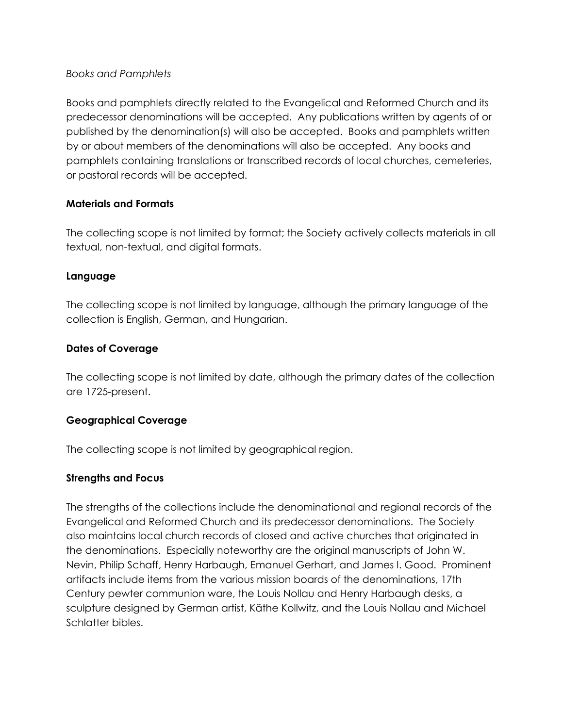## *Books and Pamphlets*

Books and pamphlets directly related to the Evangelical and Reformed Church and its predecessor denominations will be accepted. Any publications written by agents of or published by the denomination(s) will also be accepted. Books and pamphlets written by or about members of the denominations will also be accepted. Any books and pamphlets containing translations or transcribed records of local churches, cemeteries, or pastoral records will be accepted.

#### **Materials and Formats**

The collecting scope is not limited by format; the Society actively collects materials in all textual, non-textual, and digital formats.

#### **Language**

The collecting scope is not limited by language, although the primary language of the collection is English, German, and Hungarian.

## **Dates of Coverage**

The collecting scope is not limited by date, although the primary dates of the collection are 1725-present.

## **Geographical Coverage**

The collecting scope is not limited by geographical region.

#### **Strengths and Focus**

The strengths of the collections include the denominational and regional records of the Evangelical and Reformed Church and its predecessor denominations. The Society also maintains local church records of closed and active churches that originated in the denominations. Especially noteworthy are the original manuscripts of John W. Nevin, Philip Schaff, Henry Harbaugh, Emanuel Gerhart, and James I. Good. Prominent artifacts include items from the various mission boards of the denominations, 17th Century pewter communion ware, the Louis Nollau and Henry Harbaugh desks, a sculpture designed by German artist, Käthe Kollwitz, and the Louis Nollau and Michael Schlatter bibles.